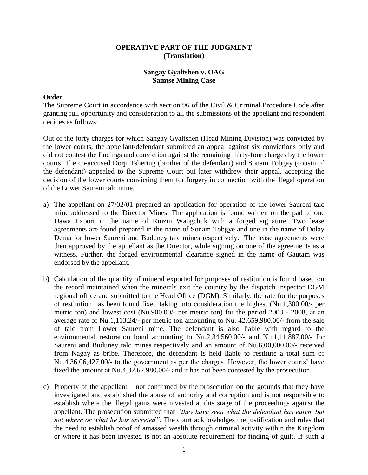# **OPERATIVE PART OF THE JUDGMENT (Translation)**

# **Sangay Gyaltshen v. OAG Samtse Mining Case**

### **Order**

The Supreme Court in accordance with section 96 of the Civil & Criminal Procedure Code after granting full opportunity and consideration to all the submissions of the appellant and respondent decides as follows:

Out of the forty charges for which Sangay Gyaltshen (Head Mining Division) was convicted by the lower courts, the appellant/defendant submitted an appeal against six convictions only and did not contest the findings and conviction against the remaining thirty-four charges by the lower courts. The co-accused Dorji Tshering (brother of the defendant) and Sonam Tobgay (cousin of the defendant) appealed to the Supreme Court but later withdrew their appeal, accepting the decision of the lower courts convicting them for forgery in connection with the illegal operation of the Lower Saureni talc mine.

- a) The appellant on 27/02/01 prepared an application for operation of the lower Saureni talc mine addressed to the Director Mines. The application is found written on the pad of one Dawa Export in the name of Rinzin Wangchuk with a forged signature. Two lease agreements are found prepared in the name of Sonam Tobgye and one in the name of Dolay Dema for lower Saureni and Buduney talc mines respectively. The lease agreements were then approved by the appellant as the Director, while signing on one of the agreements as a witness. Further, the forged environmental clearance signed in the name of Gautam was endorsed by the appellant.
- b) Calculation of the quantity of mineral exported for purposes of restitution is found based on the record maintained when the minerals exit the country by the dispatch inspector DGM regional office and submitted to the Head Office (DGM). Similarly, the rate for the purposes of restitution has been found fixed taking into consideration the highest (Nu.1,300.00/- per metric ton) and lowest cost (Nu.900.00/- per metric ton) for the period 2003 - 2008, at an average rate of Nu.1,113.24/- per metric ton amounting to Nu. 42,659,980.00/- from the sale of talc from Lower Saureni mine. The defendant is also liable with regard to the environmental restoration bond amounting to Nu.2,34,560.00/- and Nu.1,11,887.00/- for Saureni and Buduney talc mines respectively and an amount of Nu.6,00,000.00/- received from Nagay as bribe. Therefore, the defendant is held liable to restitute a total sum of Nu.4,36,06,427.00/- to the government as per the charges. However, the lower courts' have fixed the amount at Nu.4,32,62,980.00/- and it has not been contested by the prosecution.
- c) Property of the appellant not confirmed by the prosecution on the grounds that they have investigated and established the abuse of authority and corruption and is not responsible to establish where the illegal gains were invested at this stage of the proceedings against the appellant. The prosecution submitted that *"they have seen what the defendant has eaten, but not where or what he has excreted"*. The court acknowledges the justification and rules that the need to establish proof of amassed wealth through criminal activity within the Kingdom or where it has been invested is not an absolute requirement for finding of guilt. If such a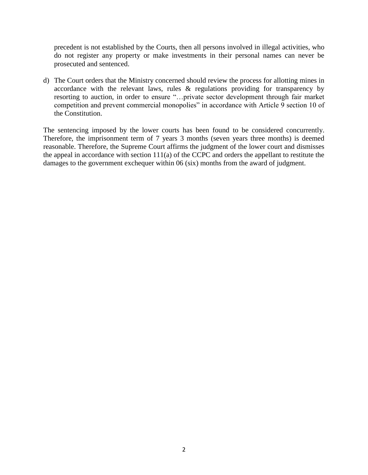precedent is not established by the Courts, then all persons involved in illegal activities, who do not register any property or make investments in their personal names can never be prosecuted and sentenced.

d) The Court orders that the Ministry concerned should review the process for allotting mines in accordance with the relevant laws, rules & regulations providing for transparency by resorting to auction, in order to ensure "…private sector development through fair market competition and prevent commercial monopolies" in accordance with Article 9 section 10 of the Constitution.

The sentencing imposed by the lower courts has been found to be considered concurrently. Therefore, the imprisonment term of 7 years 3 months (seven years three months) is deemed reasonable. Therefore, the Supreme Court affirms the judgment of the lower court and dismisses the appeal in accordance with section 111(a) of the CCPC and orders the appellant to restitute the damages to the government exchequer within 06 (six) months from the award of judgment.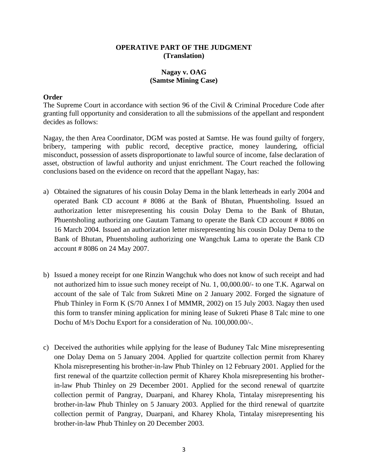## **OPERATIVE PART OF THE JUDGMENT (Translation)**

# **Nagay v. OAG (Samtse Mining Case)**

### **Order**

The Supreme Court in accordance with section 96 of the Civil & Criminal Procedure Code after granting full opportunity and consideration to all the submissions of the appellant and respondent decides as follows:

Nagay, the then Area Coordinator, DGM was posted at Samtse. He was found guilty of forgery, bribery, tampering with public record, deceptive practice, money laundering, official misconduct, possession of assets disproportionate to lawful source of income, false declaration of asset, obstruction of lawful authority and unjust enrichment. The Court reached the following conclusions based on the evidence on record that the appellant Nagay, has:

- a) Obtained the signatures of his cousin Dolay Dema in the blank letterheads in early 2004 and operated Bank CD account # 8086 at the Bank of Bhutan, Phuentsholing. Issued an authorization letter misrepresenting his cousin Dolay Dema to the Bank of Bhutan, Phuentsholing authorizing one Gautam Tamang to operate the Bank CD account # 8086 on 16 March 2004. Issued an authorization letter misrepresenting his cousin Dolay Dema to the Bank of Bhutan, Phuentsholing authorizing one Wangchuk Lama to operate the Bank CD account # 8086 on 24 May 2007.
- b) Issued a money receipt for one Rinzin Wangchuk who does not know of such receipt and had not authorized him to issue such money receipt of Nu. 1, 00,000.00/- to one T.K. Agarwal on account of the sale of Talc from Sukreti Mine on 2 January 2002. Forged the signature of Phub Thinley in Form K (S/70 Annex I of MMMR, 2002) on 15 July 2003. Nagay then used this form to transfer mining application for mining lease of Sukreti Phase 8 Talc mine to one Dochu of M/s Dochu Export for a consideration of Nu. 100,000.00/-.
- c) Deceived the authorities while applying for the lease of Buduney Talc Mine misrepresenting one Dolay Dema on 5 January 2004. Applied for quartzite collection permit from Kharey Khola misrepresenting his brother-in-law Phub Thinley on 12 February 2001. Applied for the first renewal of the quartzite collection permit of Kharey Khola misrepresenting his brotherin-law Phub Thinley on 29 December 2001. Applied for the second renewal of quartzite collection permit of Pangray, Duarpani, and Kharey Khola, Tintalay misrepresenting his brother-in-law Phub Thinley on 5 January 2003. Applied for the third renewal of quartzite collection permit of Pangray, Duarpani, and Kharey Khola, Tintalay misrepresenting his brother-in-law Phub Thinley on 20 December 2003.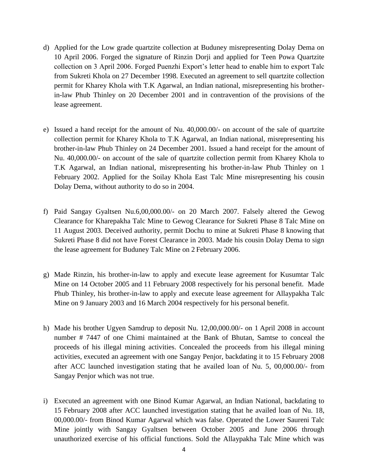- d) Applied for the Low grade quartzite collection at Buduney misrepresenting Dolay Dema on 10 April 2006. Forged the signature of Rinzin Dorji and applied for Teen Powa Quartzite collection on 3 April 2006. Forged Puenzhi Export's letter head to enable him to export Talc from Sukreti Khola on 27 December 1998. Executed an agreement to sell quartzite collection permit for Kharey Khola with T.K Agarwal, an Indian national, misrepresenting his brotherin-law Phub Thinley on 20 December 2001 and in contravention of the provisions of the lease agreement.
- e) Issued a hand receipt for the amount of Nu. 40,000.00/- on account of the sale of quartzite collection permit for Kharey Khola to T.K Agarwal, an Indian national, misrepresenting his brother-in-law Phub Thinley on 24 December 2001. Issued a hand receipt for the amount of Nu. 40,000.00/- on account of the sale of quartzite collection permit from Kharey Khola to T.K Agarwal, an Indian national, misrepresenting his brother-in-law Phub Thinley on 1 February 2002. Applied for the Soilay Khola East Talc Mine misrepresenting his cousin Dolay Dema, without authority to do so in 2004.
- f) Paid Sangay Gyaltsen Nu.6,00,000.00/- on 20 March 2007. Falsely altered the Gewog Clearance for Kharepakha Talc Mine to Gewog Clearance for Sukreti Phase 8 Talc Mine on 11 August 2003. Deceived authority, permit Dochu to mine at Sukreti Phase 8 knowing that Sukreti Phase 8 did not have Forest Clearance in 2003. Made his cousin Dolay Dema to sign the lease agreement for Buduney Talc Mine on 2 February 2006.
- g) Made Rinzin, his brother-in-law to apply and execute lease agreement for Kusumtar Talc Mine on 14 October 2005 and 11 February 2008 respectively for his personal benefit. Made Phub Thinley, his brother-in-law to apply and execute lease agreement for Allaypakha Talc Mine on 9 January 2003 and 16 March 2004 respectively for his personal benefit.
- h) Made his brother Ugyen Samdrup to deposit Nu. 12,00,000.00/- on 1 April 2008 in account number # 7447 of one Chimi maintained at the Bank of Bhutan, Samtse to conceal the proceeds of his illegal mining activities. Concealed the proceeds from his illegal mining activities, executed an agreement with one Sangay Penjor, backdating it to 15 February 2008 after ACC launched investigation stating that he availed loan of Nu. 5, 00,000.00/- from Sangay Penjor which was not true.
- i) Executed an agreement with one Binod Kumar Agarwal, an Indian National, backdating to 15 February 2008 after ACC launched investigation stating that he availed loan of Nu. 18, 00,000.00/- from Binod Kumar Agarwal which was false. Operated the Lower Saureni Talc Mine jointly with Sangay Gyaltsen between October 2005 and June 2006 through unauthorized exercise of his official functions. Sold the Allaypakha Talc Mine which was